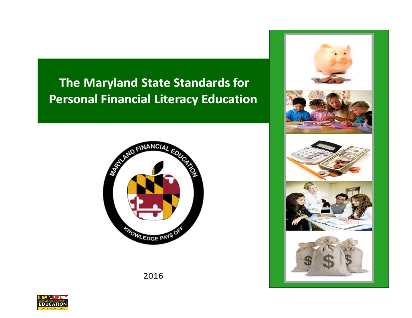# The Maryland State Standards for **Personal Financial Literacy Education**





2016

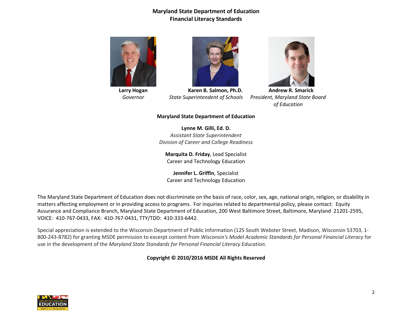

**Larry Hogan** *Governor*



**Karen B. Salmon, Ph.D.** *State Superintendent of Schools*



**Andrew R. Smarick** *President, Maryland State Board of Education*

#### **Maryland State Department of Education**

**Lynne M. Gilli, Ed. D.** *Assistant State Superintendent Division of Career and College Readiness*

**Marquita D. Friday**, Lead Specialist Career and Technology Education

**Jennifer L. Griffin**, Specialist Career and Technology Education

The Maryland State Department of Education does not discriminate on the basis of race, color, sex, age, national origin, religion, or disability in matters affecting employment or in providing access to programs. For inquiries related to departmental policy, please contact: Equity Assurance and Compliance Branch, Maryland State Department of Education, 200 West Baltimore Street, Baltimore, Maryland 21201-2595, VOICE: 410-767-0433, FAX: 410-767-0431, TTY/TDD: 410-333-6442.

Special appreciation is extended to the Wisconsin Department of Public Information (125 South Webster Street, Madison, Wisconsin 53703, 1- 800-243-8782) for granting MSDE permission to excerpt content from *Wisconsin's Model Academic Standards for Personal Financial Literacy* for use in the development of the *Maryland State Standards for Personal Financial Literacy Education*.

**Copyright © 2010/2016 MSDE All Rights Reserved**

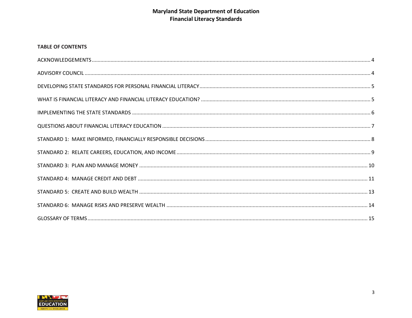## **TABLE OF CONTENTS**

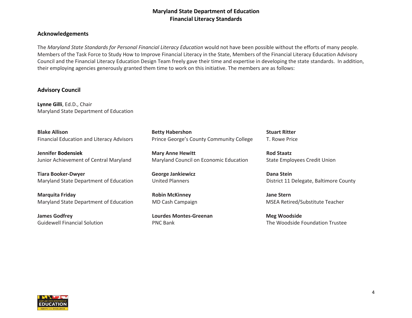#### <span id="page-3-0"></span>**Acknowledgements**

The *Maryland State Standards for Personal Financial Literacy Education* would not have been possible without the efforts of many people. Members of the Task Force to Study How to Improve Financial Literacy in the State, Members of the Financial Literacy Education Advisory Council and the Financial Literacy Education Design Team freely gave their time and expertise in developing the state standards. In addition, their employing agencies generously granted them time to work on this initiative. The members are as follows:

#### <span id="page-3-1"></span>**Advisory Council**

**Lynne Gilli**, Ed.D., Chair Maryland State Department of Education

**Blake Allison** Financial Education and Literacy Advisors

**Jennifer Bodensiek** Junior Achievement of Central Maryland

**Tiara Booker-Dwyer** Maryland State Department of Education

**Marquita Friday** Maryland State Department of Education

**James Godfrey** Guidewell Financial Solution

**Betty Habershon** Prince George's County Community College

**Mary Anne Hewitt** Maryland Council on Economic Education

**George Jankiewicz** United Planners

**Robin McKinney**  MD Cash Campaign

**Lourdes Montes-Greenan** PNC Bank

**Stuart Ritter** T. Rowe Price

**Rod Staatz** State Employees Credit Union

**Dana Stein** District 11 Delegate, Baltimore County

**Jane Stern** MSEA Retired/Substitute Teacher

**Meg Woodside** The Woodside Foundation Trustee

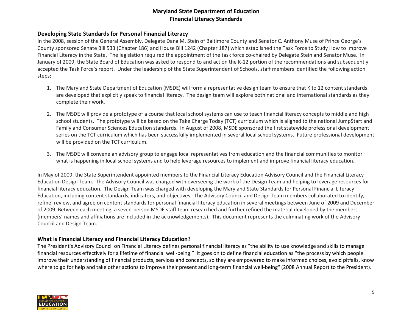## <span id="page-4-0"></span>**Developing State Standards for Personal Financial Literacy**

In the 2008, session of the General Assembly, Delegate Dana M. Stein of Baltimore County and Senator C. Anthony Muse of Prince George's County sponsored Senate Bill 533 (Chapter 186) and House Bill 1242 (Chapter 187) which established the Task Force to Study How to Improve Financial Literacy in the State. The legislation required the appointment of the task force co-chaired by Delegate Stein and Senator Muse. In January of 2009, the State Board of Education was asked to respond to and act on the K-12 portion of the recommendations and subsequently accepted the Task Force's report. Under the leadership of the State Superintendent of Schools, staff members identified the following action steps:

- 1. The Maryland State Department of Education (MSDE) will form a representative design team to ensure that K to 12 content standards are developed that explicitly speak to financial literacy. The design team will explore both national and international standards as they complete their work.
- 2. The MSDE will provide a prototype of a course that local school systems can use to teach financial literacy concepts to middle and high school students. The prototype will be based on the Take Charge Today (TCT) curriculum which is aligned to the national Jump\$tart and Family and Consumer Sciences Education standards. In August of 2008, MSDE sponsored the first statewide professional development series on the TCT curriculum which has been successfully implemented in several local school systems. Future professional development will be provided on the TCT curriculum.
- 3. The MSDE will convene an advisory group to engage local representatives from education and the financial communities to monitor what is happening in local school systems and to help leverage resources to implement and improve financial literacy education.

In May of 2009, the State Superintendent appointed members to the Financial Literacy Education Advisory Council and the Financial Literacy Education Design Team. The Advisory Council was charged with overseeing the work of the Design Team and helping to leverage resources for financial literacy education. The Design Team was charged with developing the Maryland State Standards for Personal Financial Literacy Education, including content standards, indicators, and objectives. The Advisory Council and Design Team members collaborated to identify, refine, review, and agree on content standards for personal financial literacy education in several meetings between June of 2009 and December of 2009. Between each meeting, a seven-person MSDE staff team researched and further refined the material developed by the members (members' names and affiliations are included in the acknowledgements). This document represents the culminating work of the Advisory Council and Design Team.

## <span id="page-4-1"></span>**What is Financial Literacy and Financial Literacy Education?**

The President's Advisory Council on Financial Literacy defines personal financial literacy as "the ability to use knowledge and skills to manage financial resources effectively for a lifetime of financial well-being." It goes on to define financial education as "the process by which people improve their understanding of financial products, services and concepts, so they are empowered to make informed choices, avoid pitfalls, know where to go for help and take other actions to improve their present and long-term financial well-being" (2008 Annual Report to the President).

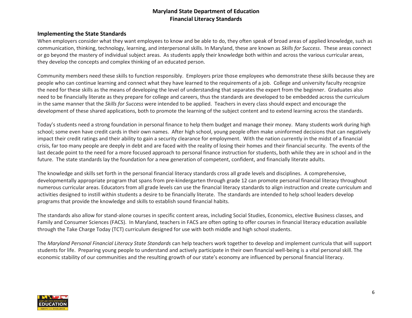#### <span id="page-5-0"></span>**Implementing the State Standards**

When employers consider what they want employees to know and be able to do, they often speak of broad areas of applied knowledge, such as communication, thinking, technology, learning, and interpersonal skills. In Maryland, these are known as *Skills for Success*. These areas connect or go beyond the mastery of individual subject areas. As students apply their knowledge both within and across the various curricular areas, they develop the concepts and complex thinking of an educated person.

Community members need these skills to function responsibly. Employers prize those employees who demonstrate these skills because they are people who can continue learning and connect what they have learned to the requirements of a job. College and university faculty recognize the need for these skills as the means of developing the level of understanding that separates the expert from the beginner. Graduates also need to be financially literate as they prepare for college and careers, thus the standards are developed to be embedded across the curriculum in the same manner that the *Skills for Success* were intended to be applied. Teachers in every class should expect and encourage the development of these shared applications, both to promote the learning of the subject content and to extend learning across the standards.

Today's students need a strong foundation in personal finance to help them budget and manage their money. Many students work during high school; some even have credit cards in their own names. After high school, young people often make uninformed decisions that can negatively impact their credit ratings and their ability to gain a security clearance for employment. With the nation currently in the midst of a financial crisis, far too many people are deeply in debt and are faced with the reality of losing their homes and their financial security. The events of the last decade point to the need for a more focused approach to personal finance instruction for students, both while they are in school and in the future. The state standards lay the foundation for a new generation of competent, confident, and financially literate adults.

The knowledge and skills set forth in the personal financial literacy standards cross all grade levels and disciplines. A comprehensive, developmentally appropriate program that spans from pre-kindergarten through grade 12 can promote personal financial literacy throughout numerous curricular areas. Educators from all grade levels can use the financial literacy standards to align instruction and create curriculum and activities designed to instill within students a desire to be financially literate. The standards are intended to help school leaders develop programs that provide the knowledge and skills to establish sound financial habits.

The standards also allow for stand-alone courses in specific content areas, including Social Studies, Economics, elective Business classes, and Family and Consumer Sciences (FACS). In Maryland, teachers in FACS are often opting to offer courses in financial literacy education available through the Take Charge Today (TCT) curriculum designed for use with both middle and high school students.

The *Maryland Personal Financial Literacy State Standards* can help teachers work together to develop and implement curricula that will support students for life. Preparing young people to understand and actively participate in their own financial well-being is a vital personal skill. The economic stability of our communities and the resulting growth of our state's economy are influenced by personal financial literacy.

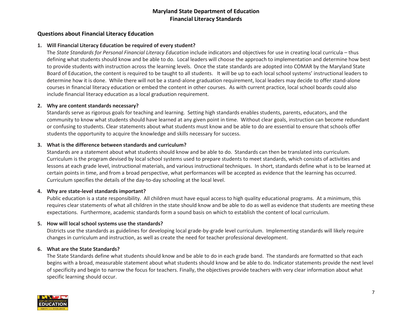## <span id="page-6-0"></span>**Questions about Financial Literacy Education**

#### **1. Will Financial Literacy Education be required of every student?**

The *State Standards for Personal Financial Literacy Education* include indicators and objectives for use in creating local curricula – thus defining what students should know and be able to do. Local leaders will choose the approach to implementation and determine how best to provide students with instruction across the learning levels. Once the state standards are adopted into COMAR by the Maryland State Board of Education, the content is required to be taught to all students. It will be up to each local school systems' instructional leaders to determine how it is done. While there will not be a stand-alone graduation requirement, local leaders may decide to offer stand-alone courses in financial literacy education or embed the content in other courses. As with current practice, local school boards could also include financial literacy education as a local graduation requirement.

#### **2. Why are content standards necessary?**

Standards serve as rigorous goals for teaching and learning. Setting high standards enables students, parents, educators, and the community to know what students should have learned at any given point in time. Without clear goals, instruction can become redundant or confusing to students. Clear statements about what students must know and be able to do are essential to ensure that schools offer students the opportunity to acquire the knowledge and skills necessary for success.

#### **3. What is the difference between standards and curriculum?**

Standards are a statement about what students should know and be able to do. Standards can then be translated into curriculum. Curriculum is the program devised by local school systems used to prepare students to meet standards, which consists of activities and lessons at each grade level, instructional materials, and various instructional techniques. In short, standards define what is to be learned at certain points in time, and from a broad perspective, what performances will be accepted as evidence that the learning has occurred. Curriculum specifies the details of the day-to-day schooling at the local level.

#### **4. Why are state-level standards important?**

Public education is a state responsibility. All children must have equal access to high quality educational programs. At a minimum, this requires clear statements of what all children in the state should know and be able to do as well as evidence that students are meeting these expectations. Furthermore, academic standards form a sound basis on which to establish the content of local curriculum.

#### **5. How will local school systems use the standards?**

Districts use the standards as guidelines for developing local grade-by-grade level curriculum. Implementing standards will likely require changes in curriculum and instruction, as well as create the need for teacher professional development.

#### **6. What are the State Standards?**

The State Standards define what students should know and be able to do in each grade band. The standards are formatted so that each begins with a broad, measurable statement about what students should know and be able to do. Indicator statements provide the next level of specificity and begin to narrow the focus for teachers. Finally, the objectives provide teachers with very clear information about what specific learning should occur.

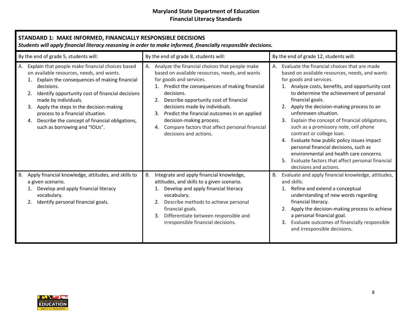<span id="page-7-0"></span>

| STANDARD 1: MAKE INFORMED, FINANCIALLY RESPONSIBLE DECISIONS<br>Students will apply financial literacy reasoning in order to make informed, financially responsible decisions.                                                                                                                                                                                                                                        |                                                                                                                                                                                                                                                                                                                                                                                                                                              |                                                                                                                                                                                                                                                                                                                                                                                                                                                                                                                                                                                                                                                                      |
|-----------------------------------------------------------------------------------------------------------------------------------------------------------------------------------------------------------------------------------------------------------------------------------------------------------------------------------------------------------------------------------------------------------------------|----------------------------------------------------------------------------------------------------------------------------------------------------------------------------------------------------------------------------------------------------------------------------------------------------------------------------------------------------------------------------------------------------------------------------------------------|----------------------------------------------------------------------------------------------------------------------------------------------------------------------------------------------------------------------------------------------------------------------------------------------------------------------------------------------------------------------------------------------------------------------------------------------------------------------------------------------------------------------------------------------------------------------------------------------------------------------------------------------------------------------|
| By the end of grade 5, students will:                                                                                                                                                                                                                                                                                                                                                                                 | By the end of grade 8, students will:                                                                                                                                                                                                                                                                                                                                                                                                        | By the end of grade 12, students will:                                                                                                                                                                                                                                                                                                                                                                                                                                                                                                                                                                                                                               |
| Explain that people make financial choices based<br>А.<br>on available resources, needs, and wants.<br>1. Explain the consequences of making financial<br>decisions.<br>Identify opportunity cost of financial decisions<br>made by individuals.<br>Apply the steps in the decision-making<br>process to a financial situation.<br>4. Describe the concept of financial obligations,<br>such as borrowing and "IOUs". | A. Analyze the financial choices that people make<br>based on available resources, needs, and wants<br>for goods and services.<br>1. Predict the consequences of making financial<br>decisions.<br>2. Describe opportunity cost of financial<br>decisions made by individuals.<br>3. Predict the financial outcomes in an applied<br>decision-making process.<br>4. Compare factors that affect personal financial<br>decisions and actions. | A. Evaluate the financial choices that are made<br>based on available resources, needs, and wants<br>for goods and services.<br>1. Analyze costs, benefits, and opportunity cost<br>to determine the achievement of personal<br>financial goals.<br>Apply the decision-making process to an<br>unforeseen situation.<br>Explain the concept of financial obligations,<br>3.<br>such as a promissory note, cell phone<br>contract or college loan.<br>Evaluate how public policy issues impact<br>4.<br>personal financial decisions, such as<br>environmental and health care concerns.<br>Evaluate factors that affect personal financial<br>decisions and actions. |
| Apply financial knowledge, attitudes, and skills to<br>B.<br>a given scenario.<br>1. Develop and apply financial literacy<br>vocabulary.<br>Identify personal financial goals.                                                                                                                                                                                                                                        | B. Integrate and apply financial knowledge,<br>attitudes, and skills to a given scenario.<br>1. Develop and apply financial literacy<br>vocabulary.<br>Describe methods to achieve personal<br>financial goals.<br>Differentiate between responsible and<br>3.<br>irresponsible financial decisions.                                                                                                                                         | B. Evaluate and apply financial knowledge, attitudes,<br>and skills.<br>1. Refine and extend a conceptual<br>understanding of new words regarding<br>financial literacy.<br>Apply the decision-making process to achieve<br>2.<br>a personal financial goal.<br>Evaluate outcomes of financially responsible<br>3.<br>and irresponsible decisions.                                                                                                                                                                                                                                                                                                                   |

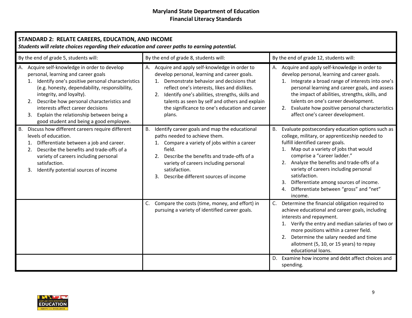<span id="page-8-0"></span>

| STANDARD 2: RELATE CAREERS, EDUCATION, AND INCOME<br>Students will relate choices regarding their education and career paths to earning potential.                                                                                                                                                                                                                                                      |                                                                                                                                                                                                                                                                                                                                                                   |                                                                                                                                                                                                                                                                                                                                                                                                                                       |
|---------------------------------------------------------------------------------------------------------------------------------------------------------------------------------------------------------------------------------------------------------------------------------------------------------------------------------------------------------------------------------------------------------|-------------------------------------------------------------------------------------------------------------------------------------------------------------------------------------------------------------------------------------------------------------------------------------------------------------------------------------------------------------------|---------------------------------------------------------------------------------------------------------------------------------------------------------------------------------------------------------------------------------------------------------------------------------------------------------------------------------------------------------------------------------------------------------------------------------------|
| By the end of grade 5, students will:                                                                                                                                                                                                                                                                                                                                                                   | By the end of grade 8, students will:                                                                                                                                                                                                                                                                                                                             | By the end of grade 12, students will:                                                                                                                                                                                                                                                                                                                                                                                                |
| A. Acquire self-knowledge in order to develop<br>personal, learning and career goals<br>1. Identify one's positive personal characteristics<br>(e.g. honesty, dependability, responsibility,<br>integrity, and loyalty).<br>2. Describe how personal characteristics and<br>interests affect career decisions<br>3. Explain the relationship between being a<br>good student and being a good employee. | A. Acquire and apply self-knowledge in order to<br>develop personal, learning and career goals.<br>1. Demonstrate behavior and decisions that<br>reflect one's interests, likes and dislikes.<br>2. Identify one's abilities, strengths, skills and<br>talents as seen by self and others and explain<br>the significance to one's education and career<br>plans. | A. Acquire and apply self-knowledge in order to<br>develop personal, learning and career goals.<br>1. Integrate a broad range of interests into one's<br>personal learning and career goals, and assess<br>the impact of abilities, strengths, skills, and<br>talents on one's career development.<br>2. Evaluate how positive personal characteristics<br>affect one's career development.                                           |
| Discuss how different careers require different<br>В.<br>levels of education.<br>1. Differentiate between a job and career.<br>Describe the benefits and trade-offs of a<br>2.<br>variety of careers including personal<br>satisfaction.<br>Identify potential sources of income<br>3.                                                                                                                  | Identify career goals and map the educational<br><b>B.</b><br>paths needed to achieve them.<br>1. Compare a variety of jobs within a career<br>field.<br>2. Describe the benefits and trade-offs of a<br>variety of careers including personal<br>satisfaction.<br>Describe different sources of income<br>3.                                                     | Evaluate postsecondary education options such as<br>B.<br>college, military, or apprenticeship needed to<br>fulfill identified career goals.<br>1. Map out a variety of jobs that would<br>comprise a "career ladder."<br>2. Analyze the benefits and trade-offs of a<br>variety of careers including personal<br>satisfaction.<br>3. Differentiate among sources of income.<br>4. Differentiate between "gross" and "net"<br>income. |
|                                                                                                                                                                                                                                                                                                                                                                                                         | C. Compare the costs (time, money, and effort) in<br>pursuing a variety of identified career goals.                                                                                                                                                                                                                                                               | C. Determine the financial obligation required to<br>achieve educational and career goals, including<br>interests and repayment.<br>1. Verify the entry and median salaries of two or<br>more positions within a career field.<br>2. Determine the salary needed and time<br>allotment (5, 10, or 15 years) to repay<br>educational loans.                                                                                            |
|                                                                                                                                                                                                                                                                                                                                                                                                         |                                                                                                                                                                                                                                                                                                                                                                   | D. Examine how income and debt affect choices and<br>spending.                                                                                                                                                                                                                                                                                                                                                                        |

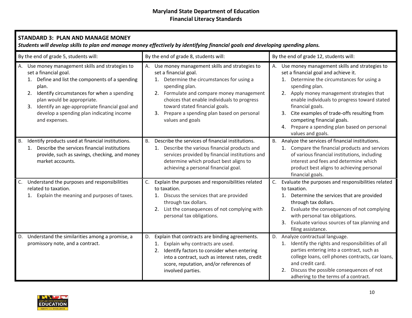<span id="page-9-0"></span>

| <b>STANDARD 3: PLAN AND MANAGE MONEY</b><br>Students will develop skills to plan and manage money effectively by identifying financial goals and developing spending plans.                                                                                                                                                                   |                                                                                                                                                                                                                                                                                                                                                |                                                                                                                                                                                                                                                                                                                                                                                                                               |
|-----------------------------------------------------------------------------------------------------------------------------------------------------------------------------------------------------------------------------------------------------------------------------------------------------------------------------------------------|------------------------------------------------------------------------------------------------------------------------------------------------------------------------------------------------------------------------------------------------------------------------------------------------------------------------------------------------|-------------------------------------------------------------------------------------------------------------------------------------------------------------------------------------------------------------------------------------------------------------------------------------------------------------------------------------------------------------------------------------------------------------------------------|
| By the end of grade 5, students will:                                                                                                                                                                                                                                                                                                         | By the end of grade 8, students will:                                                                                                                                                                                                                                                                                                          | By the end of grade 12, students will:                                                                                                                                                                                                                                                                                                                                                                                        |
| A. Use money management skills and strategies to<br>set a financial goal.<br>1. Define and list the components of a spending<br>plan.<br>Identify circumstances for when a spending<br>2.<br>plan would be appropriate.<br>Identify an age-appropriate financial goal and<br>3.<br>develop a spending plan indicating income<br>and expenses. | Use money management skills and strategies to<br>А.<br>set a financial goal.<br>1. Determine the circumstances for using a<br>spending plan.<br>2. Formulate and compare money management<br>choices that enable individuals to progress<br>toward stated financial goals.<br>3. Prepare a spending plan based on personal<br>values and goals | A. Use money management skills and strategies to<br>set a financial goal and achieve it.<br>1. Determine the circumstances for using a<br>spending plan.<br>2. Apply money management strategies that<br>enable individuals to progress toward stated<br>financial goals.<br>3. Cite examples of trade-offs resulting from<br>competing financial goals.<br>4. Prepare a spending plan based on personal<br>values and goals. |
| Identify products used at financial institutions.<br><b>B.</b><br>1. Describe the services financial institutions<br>provide, such as savings, checking, and money<br>market accounts.                                                                                                                                                        | Describe the services of financial institutions.<br>B.<br>1. Describe the various financial products and<br>services provided by financial institutions and<br>determine which product best aligns to<br>achieving a personal financial goal.                                                                                                  | B. Analyze the services of financial institutions.<br>1. Compare the financial products and services<br>of various financial institutions, including<br>interest and fees and determine which<br>product best aligns to achieving personal<br>financial goals.                                                                                                                                                                |
| Understand the purposes and responsibilities<br>C.<br>related to taxation.<br>1. Explain the meaning and purposes of taxes.                                                                                                                                                                                                                   | Explain the purposes and responsibilities related<br>C.<br>to taxation.<br>1. Discuss the services that are provided<br>through tax dollars.<br>2. List the consequences of not complying with<br>personal tax obligations.                                                                                                                    | C. Evaluate the purposes and responsibilities related<br>to taxation.<br>1. Determine the services that are provided<br>through tax dollars.<br>2. Evaluate the consequences of not complying<br>with personal tax obligations.<br>Evaluate various sources of tax planning and<br>3.<br>filing assistance.                                                                                                                   |
| D. Understand the similarities among a promise, a<br>promissory note, and a contract.                                                                                                                                                                                                                                                         | Explain that contracts are binding agreements.<br>D.<br>1. Explain why contracts are used.<br>2. Identify factors to consider when entering<br>into a contract, such as interest rates, credit<br>score, reputation, and/or references of<br>involved parties.                                                                                 | D. Analyze contractual language.<br>1. Identify the rights and responsibilities of all<br>parties entering into a contract, such as<br>college loans, cell phones contracts, car loans,<br>and credit card.<br>2. Discuss the possible consequences of not<br>adhering to the terms of a contract.                                                                                                                            |

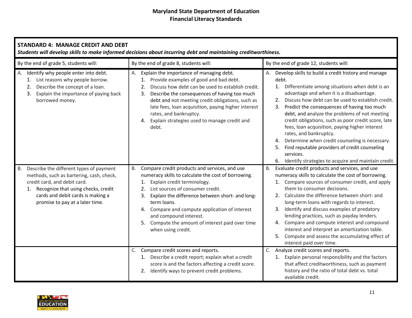<span id="page-10-0"></span>

| <b>STANDARD 4: MANAGE CREDIT AND DEBT</b><br>Students will develop skills to make informed decisions about incurring debt and maintaining creditworthiness.                                                                                        |                                                                                                                                                                                                                                                                                                                                                                                                                                |                                                                                                                                                                                                                                                                                                                                                                                                                                                                                                                                                                                                                                                            |  |
|----------------------------------------------------------------------------------------------------------------------------------------------------------------------------------------------------------------------------------------------------|--------------------------------------------------------------------------------------------------------------------------------------------------------------------------------------------------------------------------------------------------------------------------------------------------------------------------------------------------------------------------------------------------------------------------------|------------------------------------------------------------------------------------------------------------------------------------------------------------------------------------------------------------------------------------------------------------------------------------------------------------------------------------------------------------------------------------------------------------------------------------------------------------------------------------------------------------------------------------------------------------------------------------------------------------------------------------------------------------|--|
| By the end of grade 5, students will:                                                                                                                                                                                                              | By the end of grade 8, students will:                                                                                                                                                                                                                                                                                                                                                                                          | By the end of grade 12, students will:                                                                                                                                                                                                                                                                                                                                                                                                                                                                                                                                                                                                                     |  |
| A. Identify why people enter into debt.<br>1. List reasons why people borrow.<br>Describe the concept of a loan.<br>2.<br>3. Explain the importance of paying back<br>borrowed money.                                                              | Explain the importance of managing debt.<br>А.<br>Provide examples of good and bad debt.<br>1.<br>Discuss how debt can be used to establish credit.<br>2.<br>3. Describe the consequences of having too much<br>debt and not meeting credit obligations, such as<br>late fees, loan acquisition, paying higher interest<br>rates, and bankruptcy.<br>Explain strategies used to manage credit and<br>4.<br>debt.               | Develop skills to build a credit history and manage<br>debt.<br>Differentiate among situations when debt is an<br>1.<br>advantage and when it is a disadvantage.<br>Discuss how debt can be used to establish credit.<br>2.<br>Predict the consequences of having too much<br>3.<br>debt, and analyze the problems of not meeting<br>credit obligations, such as poor credit score, late<br>fees, loan acquisition, paying higher interest<br>rates, and bankruptcy.<br>Determine when credit counseling is necessary.<br>4.<br>Find reputable providers of credit counseling<br>5.<br>services.<br>6. Identify strategies to acquire and maintain credit. |  |
| Describe the different types of payment<br><b>B.</b><br>methods, such as bartering, cash, check,<br>credit card, and debit card.<br>1. Recognize that using checks, credit<br>cards and debit cards is making a<br>promise to pay at a later time. | Compare credit products and services, and use<br><b>B.</b><br>numeracy skills to calculate the cost of borrowing.<br>Explain credit terminology.<br>1.<br>List sources of consumer credit.<br>2.<br>Explain the difference between short- and long-<br>3.<br>term loans.<br>4. Compare and compute application of interest<br>and compound interest.<br>5. Compute the amount of interest paid over time<br>when using credit. | Evaluate credit products and services, and use<br><b>B.</b><br>numeracy skills to calculate the cost of borrowing.<br>Compare sources of consumer credit, and apply<br>them to consumer decisions.<br>Calculate the difference between short- and<br>2.<br>long-term loans with regards to interest.<br>Identify and discuss examples of predatory<br>3.<br>lending practices, such as payday lenders.<br>Compare and compute interest and compound<br>4.<br>interest and interpret an amortization table.<br>Compute and assess the accumulating effect of<br>5.<br>interest paid over time.                                                              |  |
|                                                                                                                                                                                                                                                    | Compare credit scores and reports.<br>C.<br>1. Describe a credit report; explain what a credit<br>score is and the factors affecting a credit score.<br>2. Identify ways to prevent credit problems.                                                                                                                                                                                                                           | C. Analyze credit scores and reports.<br>Explain personal responsibility and the factors<br>1.<br>that affect creditworthiness, such as payment<br>history and the ratio of total debt vs. total<br>available credit.                                                                                                                                                                                                                                                                                                                                                                                                                                      |  |

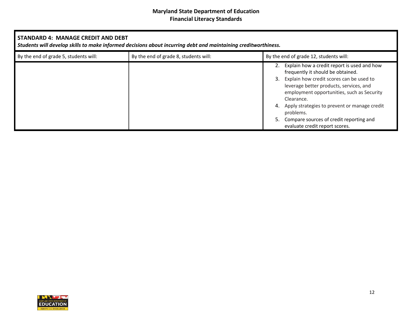| STANDARD 4: MANAGE CREDIT AND DEBT<br>Students will develop skills to make informed decisions about incurring debt and maintaining creditworthiness. |                                       |  |                                                                                                                                                                                                                                                                                                                                                                               |
|------------------------------------------------------------------------------------------------------------------------------------------------------|---------------------------------------|--|-------------------------------------------------------------------------------------------------------------------------------------------------------------------------------------------------------------------------------------------------------------------------------------------------------------------------------------------------------------------------------|
| By the end of grade 5, students will:                                                                                                                | By the end of grade 8, students will: |  | By the end of grade 12, students will:                                                                                                                                                                                                                                                                                                                                        |
|                                                                                                                                                      |                                       |  | Explain how a credit report is used and how<br>frequently it should be obtained.<br>Explain how credit scores can be used to<br>leverage better products, services, and<br>employment opportunities, such as Security<br>Clearance.<br>Apply strategies to prevent or manage credit<br>problems.<br>Compare sources of credit reporting and<br>evaluate credit report scores. |

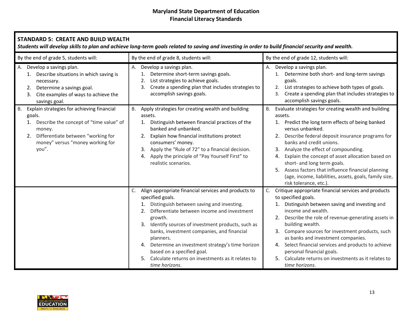<span id="page-12-0"></span>

| <b>STANDARD 5: CREATE AND BUILD WEALTH</b><br>Students will develop skills to plan and achieve long-term goals related to saving and investing in order to build financial security and wealth.                    |                                                                                                                                                                                                                                                                                                                                                                                                                                                                                            |                                                                                                                                                                                                                                                                                                                                                                                                                                                                                                           |
|--------------------------------------------------------------------------------------------------------------------------------------------------------------------------------------------------------------------|--------------------------------------------------------------------------------------------------------------------------------------------------------------------------------------------------------------------------------------------------------------------------------------------------------------------------------------------------------------------------------------------------------------------------------------------------------------------------------------------|-----------------------------------------------------------------------------------------------------------------------------------------------------------------------------------------------------------------------------------------------------------------------------------------------------------------------------------------------------------------------------------------------------------------------------------------------------------------------------------------------------------|
| By the end of grade 5, students will:                                                                                                                                                                              | By the end of grade 8, students will:                                                                                                                                                                                                                                                                                                                                                                                                                                                      | By the end of grade 12, students will:                                                                                                                                                                                                                                                                                                                                                                                                                                                                    |
| Develop a savings plan.<br>А.<br>1. Describe situations in which saving is<br>necessary.<br>Determine a savings goal.<br>2.<br>3. Cite examples of ways to achieve the<br>savings goal.                            | Develop a savings plan.<br>А.<br>Determine short-term savings goals.<br>1.<br>List strategies to achieve goals.<br>2.<br>Create a spending plan that includes strategies to<br>3.<br>accomplish savings goals.                                                                                                                                                                                                                                                                             | Develop a savings plan.<br>Determine both short- and long-term savings<br>1.<br>goals.<br>List strategies to achieve both types of goals.<br>2.<br>Create a spending plan that includes strategies to<br>3.<br>accomplish savings goals.                                                                                                                                                                                                                                                                  |
| Explain strategies for achieving financial<br><b>B.</b><br>goals.<br>1. Describe the concept of "time value" of<br>money.<br>Differentiate between "working for<br>2.<br>money" versus "money working for<br>you". | Apply strategies for creating wealth and building<br>B.<br>assets.<br>Distinguish between financial practices of the<br>1.<br>banked and unbanked.<br>Explain how financial institutions protect<br>2.<br>consumers' money.<br>Apply the "Rule of 72" to a financial decision.<br>3.<br>Apply the principle of "Pay Yourself First" to<br>4.<br>realistic scenarios.                                                                                                                       | Evaluate strategies for creating wealth and building<br>B.<br>assets.<br>Predict the long term effects of being banked<br>1.<br>versus unbanked.<br>Describe federal deposit insurance programs for<br>banks and credit unions.<br>Analyze the effect of compounding.<br>Explain the concept of asset allocation based on<br>4.<br>short- and long term goals.<br>5. Assess factors that influence financial planning<br>(age, income, liabilities, assets, goals, family size,<br>risk tolerance, etc.). |
|                                                                                                                                                                                                                    | Align appropriate financial services and products to<br>C.<br>specified goals.<br>Distinguish between saving and investing.<br>1.<br>Differentiate between income and investment<br>2.<br>growth.<br>Identify sources of investment products, such as<br>3.<br>banks, investment companies, and financial<br>planners.<br>Determine an investment strategy's time horizon<br>4.<br>based on a specified goal.<br>Calculate returns on investments as it relates to<br>5.<br>time horizons. | Critique appropriate financial services and products<br>C.<br>to specified goals.<br>Distinguish between saving and investing and<br>1.<br>income and wealth.<br>Describe the role of revenue-generating assets in<br>2.<br>building wealth.<br>3. Compare sources for investment products, such<br>as banks and investment companies.<br>Select financial services and products to achieve<br>4.<br>personal financial goals.<br>5. Calculate returns on investments as it relates to<br>time horizons.  |

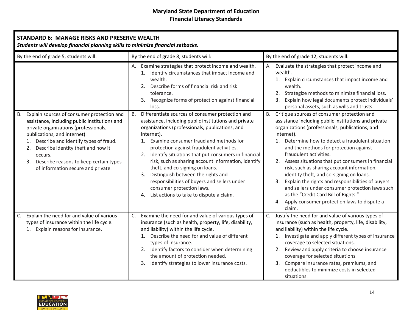<span id="page-13-0"></span>

| <b>STANDARD 6: MANAGE RISKS AND PRESERVE WEALTH</b><br>Students will develop financial planning skills to minimize financial setbacks.                                                                                                                                                                                                                              |                                                                                                                                                                                                                                                                                                                                                                                                                                                                                                                                                                                                           |                                                                                                                                                                                                                                                                                                                                                                                                                                                                                                                                                                                                                                                                                   |
|---------------------------------------------------------------------------------------------------------------------------------------------------------------------------------------------------------------------------------------------------------------------------------------------------------------------------------------------------------------------|-----------------------------------------------------------------------------------------------------------------------------------------------------------------------------------------------------------------------------------------------------------------------------------------------------------------------------------------------------------------------------------------------------------------------------------------------------------------------------------------------------------------------------------------------------------------------------------------------------------|-----------------------------------------------------------------------------------------------------------------------------------------------------------------------------------------------------------------------------------------------------------------------------------------------------------------------------------------------------------------------------------------------------------------------------------------------------------------------------------------------------------------------------------------------------------------------------------------------------------------------------------------------------------------------------------|
| By the end of grade 5, students will:                                                                                                                                                                                                                                                                                                                               | By the end of grade 8, students will:                                                                                                                                                                                                                                                                                                                                                                                                                                                                                                                                                                     | By the end of grade 12, students will:                                                                                                                                                                                                                                                                                                                                                                                                                                                                                                                                                                                                                                            |
|                                                                                                                                                                                                                                                                                                                                                                     | Examine strategies that protect income and wealth.<br>1. Identify circumstances that impact income and<br>wealth.<br>2. Describe forms of financial risk and risk<br>tolerance.<br>Recognize forms of protection against financial<br>3.<br>loss.                                                                                                                                                                                                                                                                                                                                                         | Evaluate the strategies that protect income and<br>wealth.<br>Explain circumstances that impact income and<br>1.<br>wealth.<br>2. Strategize methods to minimize financial loss.<br>3. Explain how legal documents protect individuals'<br>personal assets, such as wills and trusts.                                                                                                                                                                                                                                                                                                                                                                                             |
| Explain sources of consumer protection and<br>В.<br>assistance, including public institutions and<br>private organizations (professionals,<br>publications, and internet).<br>Describe and identify types of fraud.<br>1.<br>Describe identity theft and how it<br>2.<br>occurs.<br>3. Describe reasons to keep certain types<br>of information secure and private. | Differentiate sources of consumer protection and<br>В.<br>assistance, including public institutions and private<br>organizations (professionals, publications, and<br>internet).<br>1. Examine consumer fraud and methods for<br>protection against fraudulent activities.<br>Identify situations that put consumers in financial<br>2.<br>risk, such as sharing account information, identify<br>theft, and co-signing on loans.<br>Distinguish between the rights and<br>3.<br>responsibilities of buyers and sellers under<br>consumer protection laws.<br>4. List actions to take to dispute a claim. | <b>B.</b><br>Critique sources of consumer protection and<br>assistance including public institutions and private<br>organizations (professionals, publications, and<br>internet).<br>1. Determine how to detect a fraudulent situation<br>and the methods for protection against<br>fraudulent activities.<br>2.<br>Assess situations that put consumers in financial<br>risk, such as sharing account information,<br>identity theft, and co-signing on loans.<br>Explain the rights and responsibilities of buyers<br>3.<br>and sellers under consumer protection laws such<br>as the "Credit Card Bill of Rights."<br>4. Apply consumer protection laws to dispute a<br>claim. |
| Explain the need for and value of various<br>C.<br>types of insurance within the life cycle.<br>1. Explain reasons for insurance.                                                                                                                                                                                                                                   | Examine the need for and value of various types of<br>C.<br>insurance (such as health, property, life, disability,<br>and liability) within the life cycle.<br>1. Describe the need for and value of different<br>types of insurance.<br>2. Identify factors to consider when determining<br>the amount of protection needed.<br>Identify strategies to lower insurance costs.<br>3.                                                                                                                                                                                                                      | Justify the need for and value of various types of<br>C.<br>insurance (such as health, property, life, disability,<br>and liability) within the life cycle.<br>1. Investigate and apply different types of insurance<br>coverage to selected situations.<br>2. Review and apply criteria to choose insurance<br>coverage for selected situations.<br>3. Compare insurance rates, premiums, and<br>deductibles to minimize costs in selected<br>situations.                                                                                                                                                                                                                        |

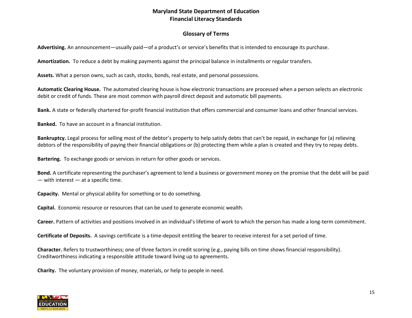# **Glossary of Terms**

<span id="page-14-0"></span>**Advertising.** An announcement—usually paid—of a product's or service's benefits that is intended to encourage its purchase.

**Amortization.** To reduce a debt by making payments against the principal balance in installments or regular transfers.

**Assets.** What a person owns, such as cash, stocks, bonds, real estate, and personal possessions.

**Automatic Clearing House.** The automated clearing house is how electronic transactions are processed when a person selects an electronic debit or credit of funds. These are most common with payroll direct deposit and automatic bill payments.

**Bank.** A state or federally chartered for-profit financial institution that offers commercial and consumer loans and other financial services.

**Banked.** To have an account in a financial institution.

**Bankruptcy.** Legal process for selling most of the debtor's property to help satisfy debts that can't be repaid, in exchange for (a) relieving debtors of the responsibility of paying their financial obligations or (b) protecting them while a plan is created and they try to repay debts.

**Bartering.** To exchange goods or services in return for other goods or services.

**Bond.** A certificate representing the purchaser's agreement to lend a business or government money on the promise that the debt will be paid  $-$  with interest  $-$  at a specific time.

**Capacity.** Mental or physical ability for something or to do something.

**Capital.** Economic resource or resources that can be used to generate economic wealth.

**Career.** Pattern of activities and positions involved in an individual's lifetime of work to which the person has made a long-term commitment.

**Certificate of Deposits.** A savings certificate is a time-deposit entitling the bearer to receive interest for a set period of time.

**Character.** Refers to trustworthiness; one of three factors in credit scoring (e.g., paying bills on time shows financial responsibility). Creditworthiness indicating a responsible attitude toward living up to agreements.

**Charity.** The voluntary provision of money, materials, or help to people in need.

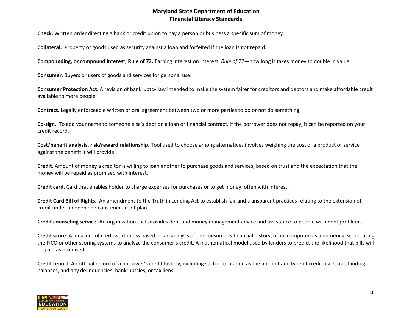**Check.** Written order directing a bank or credit union to pay a person or business a specific sum of money.

**Collateral.** Property or goods used as security against a loan and forfeited if the loan is not repaid.

**Compounding, or compound interest, Rule of 72.** Earning interest on interest. *Rule of 72*—how long it takes money to double in value.

**Consumer.** Buyers or users of goods and services for personal use.

**Consumer Protection Act.** A revision of bankruptcy law intended to make the system fairer for creditors and debtors and make affordable credit available to more people.

**Contract.** Legally enforceable written or oral agreement between two or more parties to do or not do something.

**Co-sign.** To add your name to someone else's debt on a loan or financial contract. If the borrower does not repay, it can be reported on your credit record.

**Cost/benefit analysis, risk/reward relationship.** Tool used to choose among alternatives involves weighing the cost of a product or service against the benefit it will provide.

**Credit.** Amount of money a creditor is willing to loan another to purchase goods and services, based on trust and the expectation that the money will be repaid as promised with interest.

**Credit card.** Card that enables holder to charge expenses for purchases or to get money, often with interest.

**Credit Card Bill of Rights.** An amendment to the Truth in Lending Act to establish fair and transparent practices relating to the extension of credit under an open end consumer credit plan.

**Credit counseling service.** An organization that provides debt and money management advice and assistance to people with debt problems.

**Credit score.** A measure of creditworthiness based on an analysis of the consumer's financial history, often computed as a numerical score, using the FICO or other scoring systems to analyze the consumer's credit. A mathematical model used by lenders to predict the likelihood that bills will be paid as promised.

**Credit report.** An official record of a borrower's credit history, including such information as the amount and type of credit used, outstanding balances, and any delinquencies, bankruptcies, or tax liens.

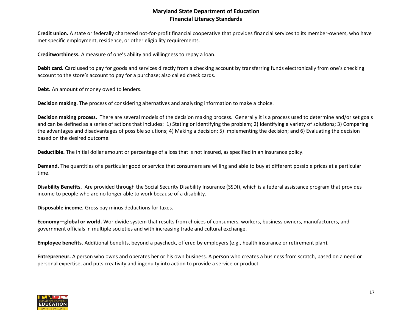**Credit union.** A state or federally chartered not-for-profit financial cooperative that provides financial services to its member-owners, who have met specific employment, residence, or other eligibility requirements.

**Creditworthiness.** A measure of one's ability and willingness to repay a loan.

**Debit card.** Card used to pay for goods and services directly from a checking account by transferring funds electronically from one's checking account to the store's account to pay for a purchase; also called check cards.

**Debt.** An amount of money owed to lenders.

**Decision making.** The process of considering alternatives and analyzing information to make a choice.

**Decision making process.** There are several models of the decision making process. Generally it is a process used to determine and/or set goals and can be defined as a series of actions that includes: 1) Stating or identifying the problem; 2) Identifying a variety of solutions; 3) Comparing the advantages and disadvantages of possible solutions; 4) Making a decision; 5) Implementing the decision; and 6) Evaluating the decision based on the desired outcome.

**Deductible.** The initial dollar amount or percentage of a loss that is not insured, as specified in an insurance policy.

**Demand.** The quantities of a particular good or service that consumers are willing and able to buy at different possible prices at a particular time.

**Disability Benefits.** Are provided through the Social Security Disability Insurance (SSDI), which is a federal assistance program that provides income to people who are no longer able to work because of a disability.

**Disposable income.** Gross pay minus deductions for taxes.

**Economy—global or world.** Worldwide system that results from choices of consumers, workers, business owners, manufacturers, and government officials in multiple societies and with increasing trade and cultural exchange.

**Employee benefits.** Additional benefits, beyond a paycheck, offered by employers (e.g., health insurance or retirement plan).

**Entrepreneur.** A person who owns and operates her or his own business. A person who creates a business from scratch, based on a need or personal expertise, and puts creativity and ingenuity into action to provide a service or product.

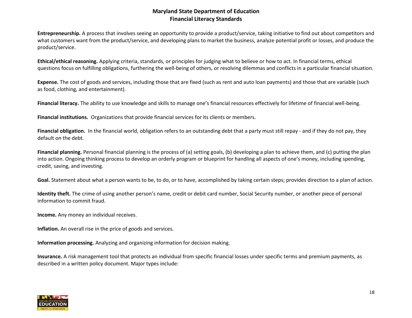**Entrepreneurship.** A process that involves seeing an opportunity to provide a product/service, taking initiative to find out about competitors and what customers want from the product/service, and developing plans to market the business, analyze potential profit or losses, and produce the product/service.

**Ethical/ethical reasoning.** Applying criteria, standards, or principles for judging what to believe or how to act. In financial terms, ethical questions focus on fulfilling obligations, furthering the well-being of others, or resolving dilemmas and conflicts in a particular financial situation.

**Expense.** The cost of goods and services, including those that are fixed (such as rent and auto loan payments) and those that are variable (such as food, clothing, and entertainment).

**Financial literacy.** The ability to use knowledge and skills to manage one's financial resources effectively for lifetime of financial well-being.

**Financial institutions.** Organizations that provide financial services for its clients or members.

**Financial obligation.** In the financial world, obligation refers to an outstanding debt that a party must still repay - and if they do not pay, they default on the debt.

Financial planning. Personal financial planning is the process of (a) setting goals, (b) developing a plan to achieve them, and (c) putting the plan into action. Ongoing thinking process to develop an orderly program or blueprint for handling all aspects of one's money, including spending, credit, saving, and investing.

**Goal.** Statement about what a person wants to be, to do, or to have, accomplished by taking certain steps; provides direction to a plan of action.

**Identity theft.** The crime of using another person's name, credit or debit card number, Social Security number, or another piece of personal information to commit fraud.

**Income.** Any money an individual receives.

**Inflation.** An overall rise in the price of goods and services.

**Information processing.** Analyzing and organizing information for decision making.

**Insurance.** A risk management tool that protects an individual from specific financial losses under specific terms and premium payments, as described in a written policy document. Major types include:

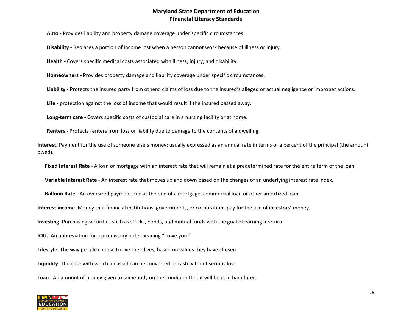**Auto -** Provides liability and property damage coverage under specific circumstances.

**Disability -** Replaces a portion of income lost when a person cannot work because of illness or injury.

**Health -** Covers specific medical costs associated with illness, injury, and disability.

**Homeowners -** Provides property damage and liability coverage under specific circumstances.

**Liability -** Protects the insured party from others' claims of loss due to the insured's alleged or actual negligence or improper actions.

**Life -** protection against the loss of income that would result if the insured passed away.

**Long-term care -** Covers specific costs of custodial care in a nursing facility or at home.

**Renters -** Protects renters from loss or liability due to damage to the contents of a dwelling.

**Interest.** Payment for the use of someone else's money; usually expressed as an annual rate in terms of a percent of the principal (the amount owed).

**Fixed Interest Rate** - A loan or mortgage with an interest rate that will remain at a predetermined rate for the entire term of the loan.

**Variable Interest Rate** - An interest rate that moves up and down based on the changes of an underlying interest rate index.

**Balloon Rate** - An oversized payment due at the end of a mortgage, commercial loan or other amortized loan.

**Interest income.** Money that financial institutions, governments, or corporations pay for the use of investors' money.

**Investing.** Purchasing securities such as stocks, bonds, and mutual funds with the goal of earning a return.

**IOU.** An abbreviation for a promissory note meaning "I owe you."

**Lifestyle.** The way people choose to live their lives, based on values they have chosen.

**Liquidity.** The ease with which an asset can be converted to cash without serious loss.

**Loan.** An amount of money given to somebody on the condition that it will be paid back later.

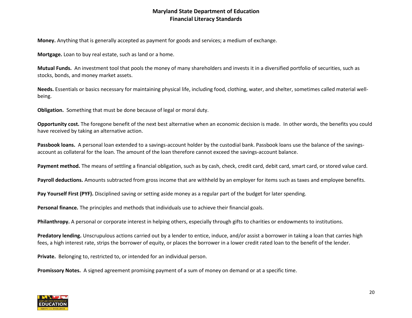**Money.** Anything that is generally accepted as payment for goods and services; a medium of exchange.

**Mortgage.** Loan to buy real estate, such as land or a home.

**Mutual Funds.** An investment tool that pools the money of many shareholders and invests it in a diversified portfolio of securities, such as stocks, bonds, and money market assets.

**Needs.** Essentials or basics necessary for maintaining physical life, including food, clothing, water, and shelter, sometimes called material wellbeing.

**Obligation.** Something that must be done because of legal or moral duty.

**Opportunity cost.** The foregone benefit of the next best alternative when an economic decision is made. In other words, the benefits you could have received by taking an alternative action.

**Passbook loans.** A personal loan extended to a savings-account holder by the custodial bank. Passbook loans use the balance of the savingsaccount as collateral for the loan. The amount of the loan therefore cannot exceed the savings-account balance.

Payment method. The means of settling a financial obligation, such as by cash, check, credit card, debit card, smart card, or stored value card.

**Payroll deductions.** Amounts subtracted from gross income that are withheld by an employer for items such as taxes and employee benefits.

**Pay Yourself First (PYF).** Disciplined saving or setting aside money as a regular part of the budget for later spending.

**Personal finance.** The principles and methods that individuals use to achieve their financial goals.

**Philanthropy.** A personal or corporate interest in helping others, especially through gifts to charities or endowments to institutions.

**Predatory lending.** Unscrupulous actions carried out by a lender to entice, induce, and/or assist a borrower in taking a loan that carries high fees, a high interest rate, strips the borrower of equity, or places the borrower in a lower credit rated loan to the benefit of the lender.

**Private.** Belonging to, restricted to, or intended for an individual person.

**Promissory Notes.** A signed agreement promising payment of a sum of money on demand or at a specific time.

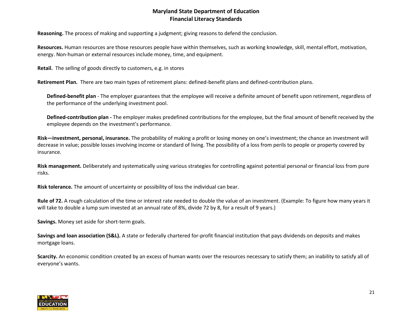**Reasoning.** The process of making and supporting a judgment; giving reasons to defend the conclusion.

**Resources.** Human resources are those resources people have within themselves, such as working knowledge, skill, mental effort, motivation, energy. Non-human or external resources include money, time, and equipment.

**Retail.** The selling of goods directly to customers, e.g. in stores

**Retirement Plan.** There are two main types of retirement plans: defined-benefit plans and defined-contribution plans.

**Defined-benefit plan** - The employer guarantees that the employee will receive a definite amount of benefit upon retirement, regardless of the performance of the underlying investment pool.

**Defined-contribution plan -** The employer makes predefined contributions for the employee, but the final amount of benefit received by the employee depends on the investment's performance.

**Risk—investment, personal, insurance.** The probability of making a profit or losing money on one's investment; the chance an investment will decrease in value; possible losses involving income or standard of living. The possibility of a loss from perils to people or property covered by insurance*.*

**Risk management.** Deliberately and systematically using various strategies for controlling against potential personal or financial loss from pure risks.

**Risk tolerance.** The amount of uncertainty or possibility of loss the individual can bear.

**Rule of 72.** A rough calculation of the time or interest rate needed to double the value of an investment. (Example: To figure how many years it will take to double a lump sum invested at an annual rate of 8%, divide 72 by 8, for a result of 9 years.)

**Savings.** Money set aside for short-term goals.

**Savings and loan association (S&L).** A state or federally chartered for-profit financial institution that pays dividends on deposits and makes mortgage loans.

**Scarcity.** An economic condition created by an excess of human wants over the resources necessary to satisfy them; an inability to satisfy all of everyone's wants.

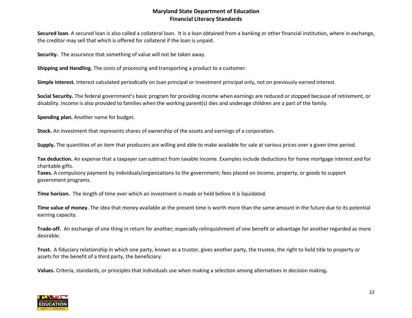**Secured loan**. A secured loan is also called a collateral loan. It is a loan obtained from a banking or other financial institution, where in exchange, the creditor may sell that which is offered for collateral if the loan is unpaid.

**Security.** The assurance that something of value will not be taken away.

**Shipping and Handling.** The costs of processing and transporting a product to a customer.

**Simple interest.** Interest calculated periodically on loan principal or investment principal only, not on previously earned interest.

**Social Security.** The federal government's basic program for providing income when earnings are reduced or stopped because of retirement, or disability. Income is also provided to families when the working parent(s) dies and underage children are a part of the family.

**Spending plan.** Another name for budget.

**Stock.** An investment that represents shares of ownership of the assets and earnings of a corporation.

**Supply.** The quantities of an item that producers are willing and able to make available for sale at various prices over a given time period.

**Tax deduction.** An expense that a taxpayer can subtract from taxable income. Examples include deductions for home mortgage interest and for charitable gifts.

**Taxes.** A compulsory payment by individuals/organizations to the government; fees placed on income, property, or goods to support government programs.

**Time horizon.** The length of time over which an investment is made or held before it is liquidated.

**Time value of money.** The idea that money available at the present time is worth more than the same amount in the future due to its potential earning capacity.

**Trade-off.** An exchange of one thing in return for another; especially relinquishment of one benefit or advantage for another regarded as more desirable.

**Trust.** A fiduciary relationship in which one party, known as a trustor, gives another party, the trustee, the right to hold title to property or assets for the benefit of a third party, the beneficiary.

**Values.** Criteria, standards, or principles that individuals use when making a selection among alternatives in decision making**.**